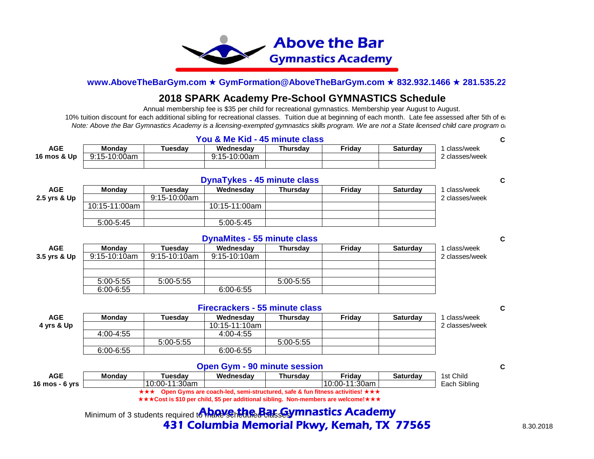

# **2018 SPARK Academy Pre-School GYMNASTICS Schedule**

Annual membership fee is \$35 per child for recreational gymnastics. Membership year August to August.

10% tuition discount for each additional sibling for recreational classes. Tuition due at beginning of each month. Late fee assessed after 5th of each *Note: Above the Bar Gymnastics Academy is a licensing-exempted gymnastics skills program.* We are not a State licensed child care program or

| <b>AGE</b>  | Mondav         | Tuesdav | Wednesdav    | <b>Thursdav</b> | Fridav | <b>Saturdav</b> | class/week     |  |
|-------------|----------------|---------|--------------|-----------------|--------|-----------------|----------------|--|
| 16 mos & Up | $9:15-10:00am$ |         | 9:15-10:00am |                 |        |                 | 2 classes/week |  |
|             |                |         |              |                 |        |                 |                |  |
|             |                |         |              |                 |        |                 |                |  |

|              | <b>DynaTykes - 45 minute class</b> |              |               |          |        |                 |                |  |  |
|--------------|------------------------------------|--------------|---------------|----------|--------|-----------------|----------------|--|--|
| <b>AGE</b>   | <b>Monday</b>                      | Tuesdav      | Wednesdav     | Thursdav | Fridav | <b>Saturdav</b> | class/week     |  |  |
| 2.5 yrs & Up |                                    | 9:15-10:00am |               |          |        |                 | 2 classes/week |  |  |
|              | 10:15-11:00am                      |              | 10:15-11:00am |          |        |                 |                |  |  |
|              |                                    |              |               |          |        |                 |                |  |  |
|              | 5:00-5:45                          |              | 5:00-5:45     |          |        |                 |                |  |  |

## **DynaMites - 55 minute class Constanting to the Cost Cost Constanting Costs**

| <b>AGE</b>   | <b>Monday</b> | Tuesdav       | Wednesdav    | <b>Thursdav</b> | Fridav | <b>Saturdav</b> | class/week     |
|--------------|---------------|---------------|--------------|-----------------|--------|-----------------|----------------|
| 3.5 yrs & Up | 9:15-10:10am  | 9:15-10:10am  | 9:15-10:10am |                 |        |                 | 2 classes/week |
|              |               |               |              |                 |        |                 |                |
|              |               |               |              |                 |        |                 |                |
|              | $5:00 - 5:55$ | $5:00 - 5:55$ |              | $5:00 - 5:55$   |        |                 |                |
|              | $6:00 - 6:55$ |               | 6:00-6:55    |                 |        |                 |                |
|              |               |               |              |                 |        |                 |                |

|            | <b>Firecrackers - 55 minute class</b> |               |               |                 |        |                 |                |  |  |
|------------|---------------------------------------|---------------|---------------|-----------------|--------|-----------------|----------------|--|--|
| <b>AGE</b> | <b>Monday</b>                         | Tuesdav       | Wednesdav     | <b>Thursdav</b> | Fridav | <b>Saturdav</b> | class/week     |  |  |
| 4 yrs & Up |                                       |               | 10:15-11:10am |                 |        |                 | 2 classes/week |  |  |
|            | 4:00-4:55                             |               | 4:00-4:55     |                 |        |                 |                |  |  |
|            |                                       | $5:00 - 5:55$ |               | $5:00-5:55$     |        |                 |                |  |  |
|            | $6:00 - 6:55$                         |               | $6:00 - 6:55$ |                 |        |                 |                |  |  |
|            |                                       |               |               |                 |        |                 |                |  |  |

## **Open Gym - 90 minute session Costably Costably Costably Costably Costably Cost**

| AGE              | <b>Mondav</b> | Tuesdav         | Wednesdav            | <b>Thursdav</b> | Fridav                                                              | <b>Saturdav</b> | 1st Child       |
|------------------|---------------|-----------------|----------------------|-----------------|---------------------------------------------------------------------|-----------------|-----------------|
| 16 mos - $6$ yrs |               | $10:00-11:30am$ |                      |                 | 10:00-11:30am                                                       |                 | Sibling<br>Each |
|                  |               | ★★★             | ⊦Gvms are coach-led. |                 | . semi-structured. safe & fun fitness activities! $\star\star\star$ |                 |                 |

**★★★Cost is \$10 per child, \$5 per additional sibling. Non-members are welcome!★★★** 

Minimum of 3 students required to market scheduled class and matrics Academy **431 Columbia Memorial Pkwy, Kemah, TX 77565** 8.30.2018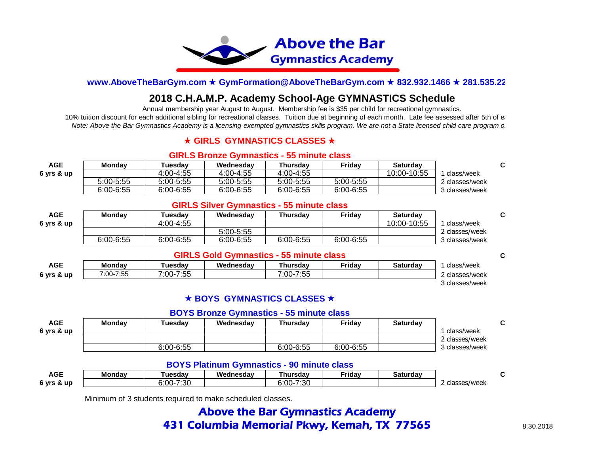

# **2018 C.H.A.M.P. Academy School-Age GYMNASTICS Schedule**

Annual membership year August to August. Membership fee is \$35 per child for recreational gymnastics.

10% tuition discount for each additional sibling for recreational classes. Tuition due at beginning of each month. Late fee assessed after 5th of each *Note: Above the Bar Gymnastics Academy is a licensing-exempted gymnastics skills program. We are not a State licensed child care program or facility. Above the Bar Gymnastics Academy is a licensing-exempted gymnastics ski* 

## **★ GIRLS GYMNASTICS CLASSES ★**

#### **GIRLS Bronze Gymnastics - 55 minute class**

| <b>AGE</b> | Mondav        | <b>Tuesdav</b> | Wednesdav     | Thursdav  | <b>Fridav</b> | <b>Saturday</b> |                |
|------------|---------------|----------------|---------------|-----------|---------------|-----------------|----------------|
| 6 yrs & up |               | 4:00-4:55      | 4:00-4:55     | 4:00-4:55 |               | 10:00-10:55     | class/week     |
|            | $5:00 - 5:55$ | $5:00-5:55$    | $5:00 - 5:55$ | 5:00-5:55 | 5:00-5:55     |                 | 2 classes/week |
|            | 6:00-6:55     | $6:00 - 6:55$  | $6:00 - 6:55$ | 6:00-6:55 | 6:00-6:55     |                 | 3 classes/week |

### **GIRLS Silver Gymnastics - 55 minute class**

| <b>AGE</b> | <b>Monday</b> | Tuesdav       | Wednesdav     | Thursdav      | Fridav    | <b>Saturday</b> |                |
|------------|---------------|---------------|---------------|---------------|-----------|-----------------|----------------|
| 6 yrs & up |               | 4:00-4:55     |               |               |           | 10:00-10:55     | class/week     |
|            |               |               | $5:00 - 5:55$ |               |           |                 | 2 classes/week |
|            | $6:00 - 6:55$ | $6:00 - 6:55$ | 6:00-6:55     | $6:00 - 6:55$ | 6:00-6:55 |                 | 3 classes/week |

#### **GIRLS Gold Gymnastics - 55 minute class Cost**

| AGE        | Mondav            | ัuesdav                   | Wednesdav | Thursdav                       | <b>⊏riday</b> | Saturdav | class/week     |
|------------|-------------------|---------------------------|-----------|--------------------------------|---------------|----------|----------------|
| 6 yrs & up | -7:55<br>$7:00-7$ | -7:55<br>$^{\circ}$ :00-. |           | <b>7.55</b><br>$7:00-$<br>ن ن. |               |          | classes/week   |
|            |                   |                           |           |                                |               |          | l classes/week |

## **★ BOYS GYMNASTICS CLASSES ★**

#### **BOYS Bronze Gymnastics - 55 minute class**

| <b>AGE</b> | <b>Monday</b> | Tuesdav       | Wednesdav | <b>Thursdav</b> | Fridav    | Saturdav |                |
|------------|---------------|---------------|-----------|-----------------|-----------|----------|----------------|
| 6 yrs & up |               |               |           |                 |           |          | class/week     |
|            |               |               |           |                 |           |          | 2 classes/week |
|            |               | $6:00 - 6:55$ |           | $6:00 - 6:55$   | 6:00-6:55 |          | 3 classes/week |

## **BOYS Platinum Gymnastics - 90 minute class**

| <b>AGE</b>      | <b>Monday</b> | ัuesdav       | Wednesdav | ⊺hursdav       | Friday | Saturdav |              |  |
|-----------------|---------------|---------------|-----------|----------------|--------|----------|--------------|--|
| 6 vrs<br>, & up |               | 7:30<br>6:00- |           | -7:30<br>፡:00- |        |          | classes/week |  |

Minimum of 3 students required to make scheduled classes.

# Above the Bar Gymnastics Academy **431 Columbia Memorial Pkwy, Kemah, TX 77565** 8.30.2018

 $C<sub>c</sub>$ 

 $C<sub>c</sub>$ 

C<sub>o</sub>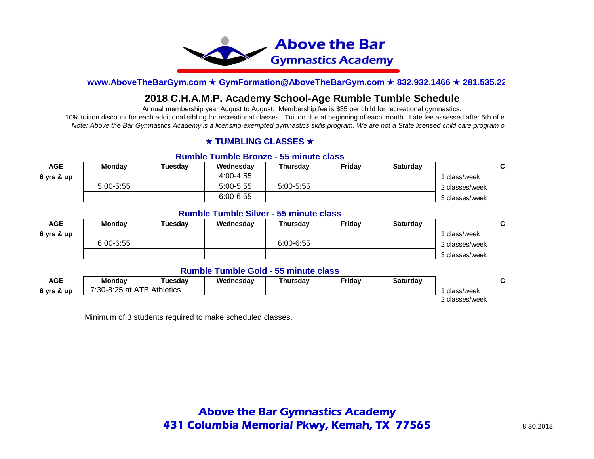

# **2018 C.H.A.M.P. Academy School-Age Rumble Tumble Schedule**

Annual membership year August to August. Membership fee is \$35 per child for recreational gymnastics.

10% tuition discount for each additional sibling for recreational classes. Tuition due at beginning of each month. Late fee assessed after 5th of each *Note: Above the Bar Gymnastics Academy is a licensing-exempted gymnastics skills program. We are not a State licensed child care program or facility. Above the Bar Gymnastics Academy is a licensing-exempted gymnastics ski* 

## **★ TUMBLING CLASSES ★**

#### **Rumble Tumble Bronze - 55 minute class**

| <b>AGE</b> | <b>Monday</b> | Tuesdav | Wednesdav     | <b>Thursdav</b> | Fridav | <b>Saturday</b> |                |
|------------|---------------|---------|---------------|-----------------|--------|-----------------|----------------|
| 6 vrs & up |               |         | 4:00-4:55     |                 |        |                 | class/week     |
|            | $5:00 - 5:55$ |         | $5:00-5:55$   | $5:00 - 5:55$   |        |                 | 2 classes/week |
|            |               |         | $6:00 - 6:55$ |                 |        |                 | 3 classes/week |

### **Rumble Tumble Silver - 55 minute class**

| <b>AGE</b> | <b>Monday</b> | Tuesdav | Wednesdav | <b>Thursdav</b> | Fridav | <b>Saturdav</b> |                |
|------------|---------------|---------|-----------|-----------------|--------|-----------------|----------------|
| 6 vrs & up |               |         |           |                 |        |                 | class/week     |
|            | $6:00 - 6:55$ |         |           | 6:00-6:55       |        |                 | 2 classes/week |
|            |               |         |           |                 |        |                 | 3 classes/week |

#### **Rumble Tumble Gold - 55 minute class**

| AGE        | <b>Mondav</b>       | ัuesdav          | Wednesdav | Thursdav | ≂ridav | Saturdav |              |
|------------|---------------------|------------------|-----------|----------|--------|----------|--------------|
| 6 yrs & up | at ATB<br>7:30-8:25 | <b>Athletics</b> |           |          |        |          | class/week   |
|            |                     |                  |           |          |        |          | classes/week |

Minimum of 3 students required to make scheduled classes.

 $C<sub>c</sub>$ 

Cost<sub>1</sub>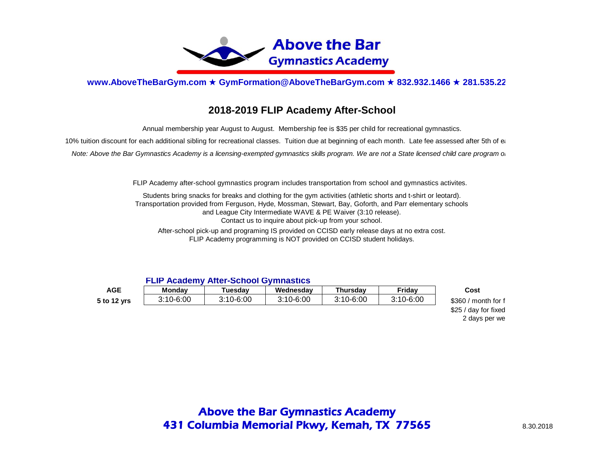

## **2018-2019 FLIP Academy After-School**

Annual membership year August to August. Membership fee is \$35 per child for recreational gymnastics.

10% tuition discount for each additional sibling for recreational classes. Tuition due at beginning of each month. Late fee assessed after 5th of each

*Note: Above the Bar Gymnastics Academy is a licensing-exempted gymnastics skills program. We are not a State licensed child care program or* 

FLIP Academy after-school gymnastics program includes transportation from school and gymnastics activites.

Transportation provided from Ferguson, Hyde, Mossman, Stewart, Bay, Goforth, and Parr elementary schools and League City Intermediate WAVE & PE Waiver (3:10 release). Contact us to inquire about pick-up from your school. Students bring snacks for breaks and clothing for the gym activities (athletic shorts and t-shirt or leotard).

After-school pick-up and programing IS provided on CCISD early release days at no extra cost. FLIP Academy programming is NOT provided on CCISD student holidays.

#### **FLIP Academy After-School Gymnastics**

| AGE         | <b>Mondav</b> | <b>uesdav</b> | Wednesdav | <b>Thursdav</b> | Fridav        | Cost                           |
|-------------|---------------|---------------|-----------|-----------------|---------------|--------------------------------|
| 5 to 12 yrs | 3:10-6:00     | 3:10-6:00     | 3:10-6:00 | 3:10-6:00       | $3:10 - 6:00$ | \$360<br>$\mu$ month for $\mu$ |

 $$25 / day$  for fixed 2 days per we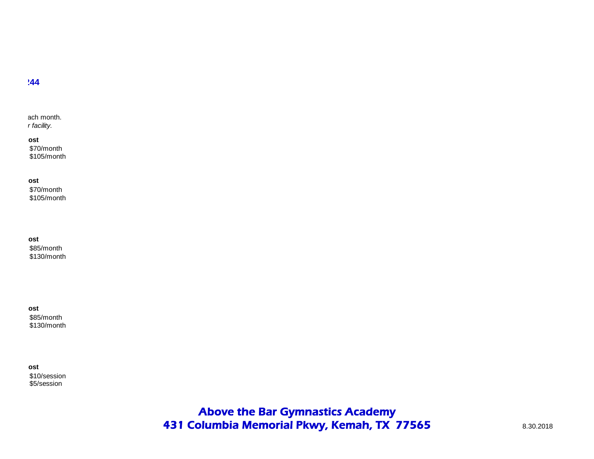ach month. *Note: Above the Bar Gymnastics Academy is a licensing-exempted gymnastics skills program. We are not a State licensed child care program or facility.* 

> \$70/month \$105/month **Cost**

\$70/month \$105/month

**Cost**

\$85/month \$130/month **Cost**

\$85/month \$130/month **Cost**

\$10/session \$5/session **Cost**

> Above the Bar Gymnastics Academy 431 Columbia Memorial Pkwy, Kemah, TX 77565 8.30.2018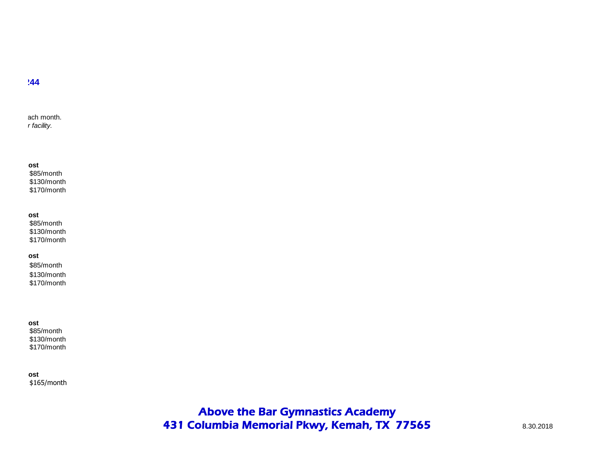ach month. *Note: Above the Bar Gymnastics Academy is a licensing-exempted gymnastics skills program. We are not a State licensed child care program or facility.* 

#### **Cost**

\$85/month \$130/month \$170/month

#### **Cost**

\$85/month \$130/month \$170/month

#### **Cost**

\$85/month \$130/month \$170/month

# **Cost**

\$85/month \$130/month \$170/month

\$165/month **Cost**

> Above the Bar Gymnastics Academy 431 Columbia Memorial Pkwy, Kemah, TX 77565 8.30.2018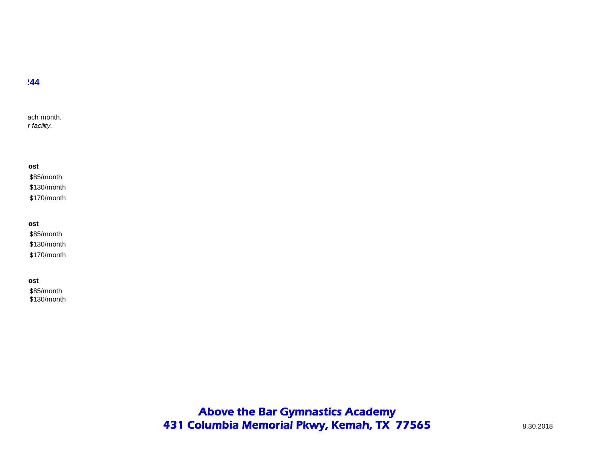ach month. *Note: Above the Bar Gymnastics Academy is a licensing-exempted gymnastics skills program. We are not a State licensed child care program or facility.* 

### **Cost**

\$85/month \$130/month \$170/month

#### **Cost**

\$85/month \$130/month \$170/month

# **Cost**

\$85/month \$130/month